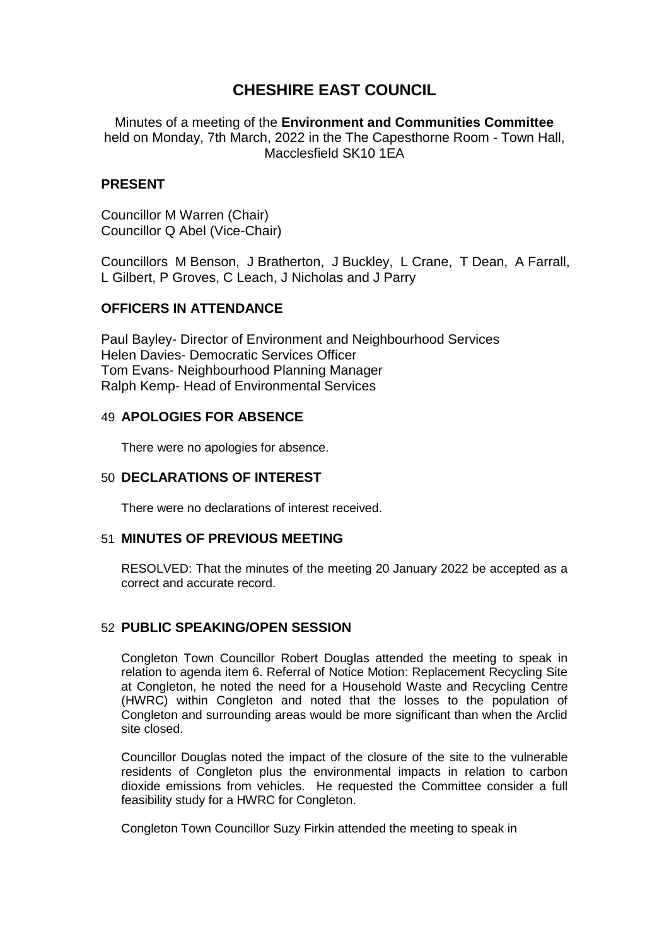# **CHESHIRE EAST COUNCIL**

Minutes of a meeting of the **Environment and Communities Committee** held on Monday, 7th March, 2022 in the The Capesthorne Room - Town Hall, Macclesfield SK10 1EA

## **PRESENT**

Councillor M Warren (Chair) Councillor Q Abel (Vice-Chair)

Councillors M Benson, J Bratherton, J Buckley, L Crane, T Dean, A Farrall, L Gilbert, P Groves, C Leach, J Nicholas and J Parry

# **OFFICERS IN ATTENDANCE**

Paul Bayley- Director of Environment and Neighbourhood Services Helen Davies- Democratic Services Officer Tom Evans- Neighbourhood Planning Manager Ralph Kemp- Head of Environmental Services

# 49 **APOLOGIES FOR ABSENCE**

There were no apologies for absence.

## 50 **DECLARATIONS OF INTEREST**

There were no declarations of interest received.

### 51 **MINUTES OF PREVIOUS MEETING**

RESOLVED: That the minutes of the meeting 20 January 2022 be accepted as a correct and accurate record.

# 52 **PUBLIC SPEAKING/OPEN SESSION**

Congleton Town Councillor Robert Douglas attended the meeting to speak in relation to agenda item 6. Referral of Notice Motion: Replacement Recycling Site at Congleton, he noted the need for a Household Waste and Recycling Centre (HWRC) within Congleton and noted that the losses to the population of Congleton and surrounding areas would be more significant than when the Arclid site closed.

Councillor Douglas noted the impact of the closure of the site to the vulnerable residents of Congleton plus the environmental impacts in relation to carbon dioxide emissions from vehicles. He requested the Committee consider a full feasibility study for a HWRC for Congleton.

Congleton Town Councillor Suzy Firkin attended the meeting to speak in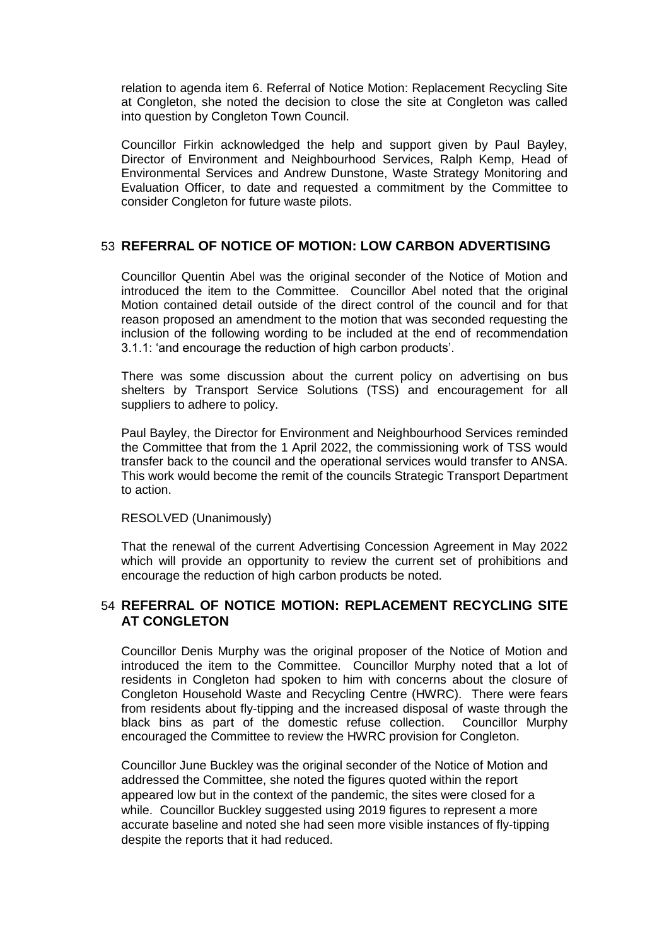relation to agenda item 6. Referral of Notice Motion: Replacement Recycling Site at Congleton, she noted the decision to close the site at Congleton was called into question by Congleton Town Council.

Councillor Firkin acknowledged the help and support given by Paul Bayley, Director of Environment and Neighbourhood Services, Ralph Kemp, Head of Environmental Services and Andrew Dunstone, Waste Strategy Monitoring and Evaluation Officer, to date and requested a commitment by the Committee to consider Congleton for future waste pilots.

# 53 **REFERRAL OF NOTICE OF MOTION: LOW CARBON ADVERTISING**

Councillor Quentin Abel was the original seconder of the Notice of Motion and introduced the item to the Committee. Councillor Abel noted that the original Motion contained detail outside of the direct control of the council and for that reason proposed an amendment to the motion that was seconded requesting the inclusion of the following wording to be included at the end of recommendation 3.1.1: 'and encourage the reduction of high carbon products'.

There was some discussion about the current policy on advertising on bus shelters by Transport Service Solutions (TSS) and encouragement for all suppliers to adhere to policy.

Paul Bayley, the Director for Environment and Neighbourhood Services reminded the Committee that from the 1 April 2022, the commissioning work of TSS would transfer back to the council and the operational services would transfer to ANSA. This work would become the remit of the councils Strategic Transport Department to action.

#### RESOLVED (Unanimously)

That the renewal of the current Advertising Concession Agreement in May 2022 which will provide an opportunity to review the current set of prohibitions and encourage the reduction of high carbon products be noted.

# 54 **REFERRAL OF NOTICE MOTION: REPLACEMENT RECYCLING SITE AT CONGLETON**

Councillor Denis Murphy was the original proposer of the Notice of Motion and introduced the item to the Committee. Councillor Murphy noted that a lot of residents in Congleton had spoken to him with concerns about the closure of Congleton Household Waste and Recycling Centre (HWRC). There were fears from residents about fly-tipping and the increased disposal of waste through the black bins as part of the domestic refuse collection. Councillor Murphy encouraged the Committee to review the HWRC provision for Congleton.

Councillor June Buckley was the original seconder of the Notice of Motion and addressed the Committee, she noted the figures quoted within the report appeared low but in the context of the pandemic, the sites were closed for a while. Councillor Buckley suggested using 2019 figures to represent a more accurate baseline and noted she had seen more visible instances of fly-tipping despite the reports that it had reduced.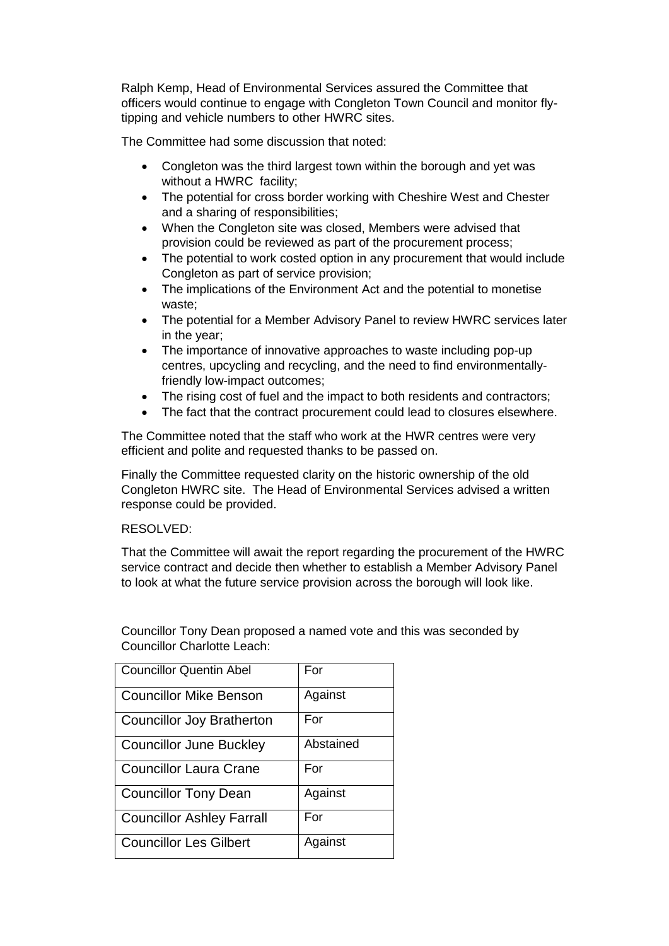Ralph Kemp, Head of Environmental Services assured the Committee that officers would continue to engage with Congleton Town Council and monitor flytipping and vehicle numbers to other HWRC sites.

The Committee had some discussion that noted:

- Congleton was the third largest town within the borough and yet was without a HWRC facility;
- The potential for cross border working with Cheshire West and Chester and a sharing of responsibilities;
- When the Congleton site was closed, Members were advised that provision could be reviewed as part of the procurement process;
- The potential to work costed option in any procurement that would include Congleton as part of service provision;
- The implications of the Environment Act and the potential to monetise waste;
- The potential for a Member Advisory Panel to review HWRC services later in the year;
- The importance of innovative approaches to waste including pop-up centres, upcycling and recycling, and the need to find environmentallyfriendly low-impact outcomes;
- The rising cost of fuel and the impact to both residents and contractors;
- The fact that the contract procurement could lead to closures elsewhere.

The Committee noted that the staff who work at the HWR centres were very efficient and polite and requested thanks to be passed on.

Finally the Committee requested clarity on the historic ownership of the old Congleton HWRC site. The Head of Environmental Services advised a written response could be provided.

### RESOLVED:

That the Committee will await the report regarding the procurement of the HWRC service contract and decide then whether to establish a Member Advisory Panel to look at what the future service provision across the borough will look like.

Councillor Tony Dean proposed a named vote and this was seconded by Councillor Charlotte Leach:

| <b>Councillor Quentin Abel</b>   | For       |
|----------------------------------|-----------|
| <b>Councillor Mike Benson</b>    | Against   |
| <b>Councillor Joy Bratherton</b> | For       |
| <b>Councillor June Buckley</b>   | Abstained |
| <b>Councillor Laura Crane</b>    | For       |
| <b>Councillor Tony Dean</b>      | Against   |
| <b>Councillor Ashley Farrall</b> | For       |
| <b>Councillor Les Gilbert</b>    | Against   |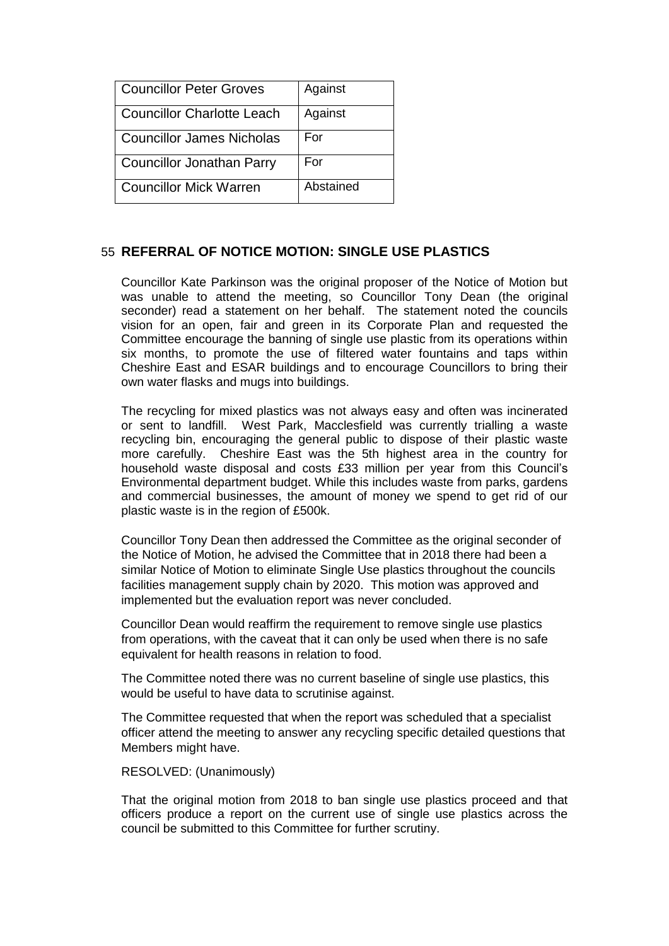| Councillor Peter Groves           | Against   |
|-----------------------------------|-----------|
| <b>Councillor Charlotte Leach</b> | Against   |
| <b>Councillor James Nicholas</b>  | For       |
| <b>Councillor Jonathan Parry</b>  | For       |
| <b>Councillor Mick Warren</b>     | Abstained |

# 55 **REFERRAL OF NOTICE MOTION: SINGLE USE PLASTICS**

Councillor Kate Parkinson was the original proposer of the Notice of Motion but was unable to attend the meeting, so Councillor Tony Dean (the original seconder) read a statement on her behalf. The statement noted the councils vision for an open, fair and green in its Corporate Plan and requested the Committee encourage the banning of single use plastic from its operations within six months, to promote the use of filtered water fountains and taps within Cheshire East and ESAR buildings and to encourage Councillors to bring their own water flasks and mugs into buildings.

The recycling for mixed plastics was not always easy and often was incinerated or sent to landfill. West Park, Macclesfield was currently trialling a waste recycling bin, encouraging the general public to dispose of their plastic waste more carefully. Cheshire East was the 5th highest area in the country for household waste disposal and costs £33 million per year from this Council's Environmental department budget. While this includes waste from parks, gardens and commercial businesses, the amount of money we spend to get rid of our plastic waste is in the region of £500k.

Councillor Tony Dean then addressed the Committee as the original seconder of the Notice of Motion, he advised the Committee that in 2018 there had been a similar Notice of Motion to eliminate Single Use plastics throughout the councils facilities management supply chain by 2020. This motion was approved and implemented but the evaluation report was never concluded.

Councillor Dean would reaffirm the requirement to remove single use plastics from operations, with the caveat that it can only be used when there is no safe equivalent for health reasons in relation to food.

The Committee noted there was no current baseline of single use plastics, this would be useful to have data to scrutinise against.

The Committee requested that when the report was scheduled that a specialist officer attend the meeting to answer any recycling specific detailed questions that Members might have.

#### RESOLVED: (Unanimously)

That the original motion from 2018 to ban single use plastics proceed and that officers produce a report on the current use of single use plastics across the council be submitted to this Committee for further scrutiny.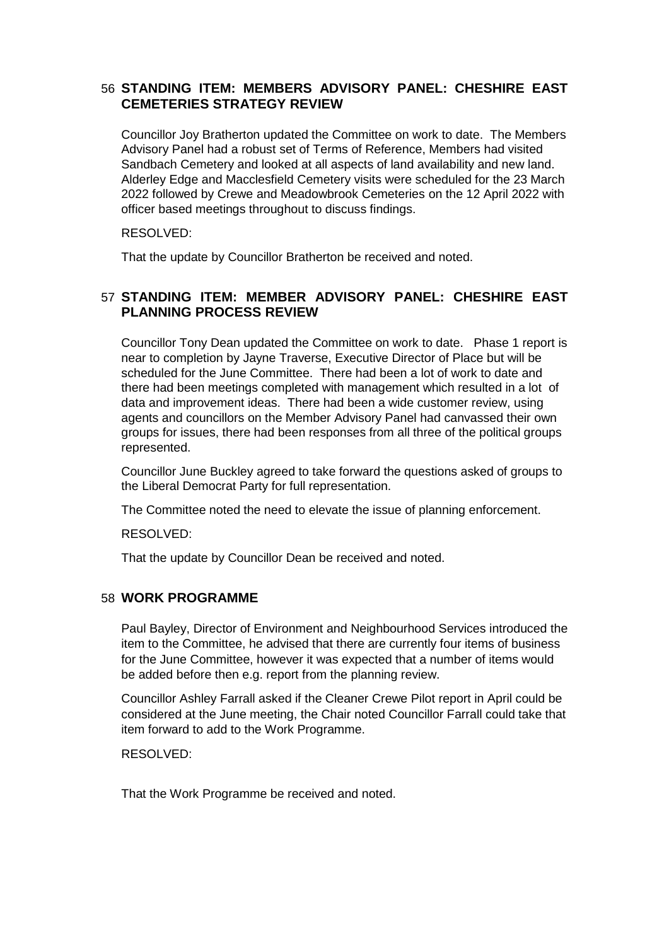# 56 **STANDING ITEM: MEMBERS ADVISORY PANEL: CHESHIRE EAST CEMETERIES STRATEGY REVIEW**

Councillor Joy Bratherton updated the Committee on work to date. The Members Advisory Panel had a robust set of Terms of Reference, Members had visited Sandbach Cemetery and looked at all aspects of land availability and new land. Alderley Edge and Macclesfield Cemetery visits were scheduled for the 23 March 2022 followed by Crewe and Meadowbrook Cemeteries on the 12 April 2022 with officer based meetings throughout to discuss findings.

RESOLVED:

That the update by Councillor Bratherton be received and noted.

# 57 **STANDING ITEM: MEMBER ADVISORY PANEL: CHESHIRE EAST PLANNING PROCESS REVIEW**

Councillor Tony Dean updated the Committee on work to date. Phase 1 report is near to completion by Jayne Traverse, Executive Director of Place but will be scheduled for the June Committee. There had been a lot of work to date and there had been meetings completed with management which resulted in a lot of data and improvement ideas. There had been a wide customer review, using agents and councillors on the Member Advisory Panel had canvassed their own groups for issues, there had been responses from all three of the political groups represented.

Councillor June Buckley agreed to take forward the questions asked of groups to the Liberal Democrat Party for full representation.

The Committee noted the need to elevate the issue of planning enforcement.

RESOLVED:

That the update by Councillor Dean be received and noted.

# 58 **WORK PROGRAMME**

Paul Bayley, Director of Environment and Neighbourhood Services introduced the item to the Committee, he advised that there are currently four items of business for the June Committee, however it was expected that a number of items would be added before then e.g. report from the planning review.

Councillor Ashley Farrall asked if the Cleaner Crewe Pilot report in April could be considered at the June meeting, the Chair noted Councillor Farrall could take that item forward to add to the Work Programme.

RESOLVED:

That the Work Programme be received and noted.